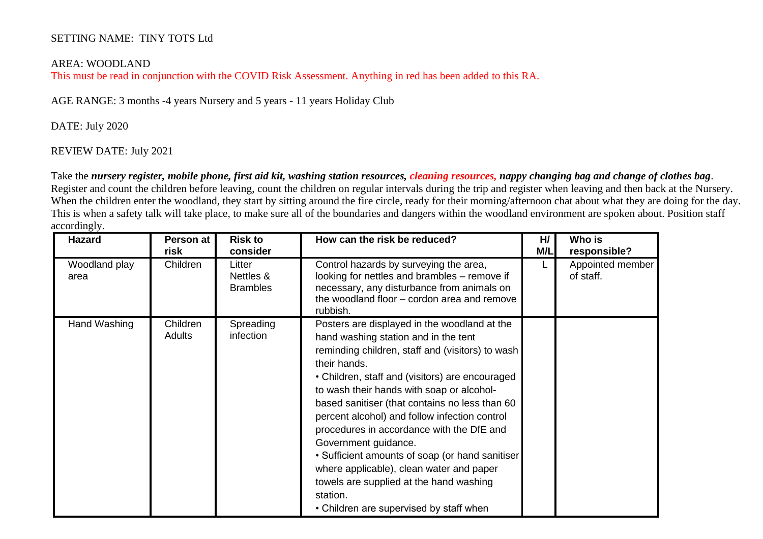## SETTING NAME: TINY TOTS Ltd

## AREA: WOODLAND

This must be read in conjunction with the COVID Risk Assessment. Anything in red has been added to this RA.

AGE RANGE: 3 months -4 years Nursery and 5 years - 11 years Holiday Club

## DATE: July 2020

## REVIEW DATE: July 2021

 Take the *nursery register, mobile phone, first aid kit, washing station resources, cleaning resources, nappy changing bag and change of clothes bag*. Register and count the children before leaving, count the children on regular intervals during the trip and register when leaving and then back at the Nursery. When the children enter the woodland, they start by sitting around the fire circle, ready for their morning/afternoon chat about what they are doing for the day. This is when a safety talk will take place, to make sure all of the boundaries and dangers within the woodland environment are spoken about. Position staff accordingly.

| <b>Hazard</b>         | Person at<br>risk  | <b>Risk to</b><br>consider             | How can the risk be reduced?                                                                                                                                                                                                                                                                                                                                                                                                                                                                                                                                                                                                      | H/<br>M/L | Who is<br>responsible?        |
|-----------------------|--------------------|----------------------------------------|-----------------------------------------------------------------------------------------------------------------------------------------------------------------------------------------------------------------------------------------------------------------------------------------------------------------------------------------------------------------------------------------------------------------------------------------------------------------------------------------------------------------------------------------------------------------------------------------------------------------------------------|-----------|-------------------------------|
| Woodland play<br>area | Children           | Litter<br>Nettles &<br><b>Brambles</b> | Control hazards by surveying the area,<br>looking for nettles and brambles – remove if<br>necessary, any disturbance from animals on<br>the woodland floor – cordon area and remove<br>rubbish.                                                                                                                                                                                                                                                                                                                                                                                                                                   |           | Appointed member<br>of staff. |
| Hand Washing          | Children<br>Adults | Spreading<br>infection                 | Posters are displayed in the woodland at the<br>hand washing station and in the tent<br>reminding children, staff and (visitors) to wash<br>their hands.<br>• Children, staff and (visitors) are encouraged<br>to wash their hands with soap or alcohol-<br>based sanitiser (that contains no less than 60<br>percent alcohol) and follow infection control<br>procedures in accordance with the DfE and<br>Government guidance.<br>• Sufficient amounts of soap (or hand sanitiser<br>where applicable), clean water and paper<br>towels are supplied at the hand washing<br>station.<br>• Children are supervised by staff when |           |                               |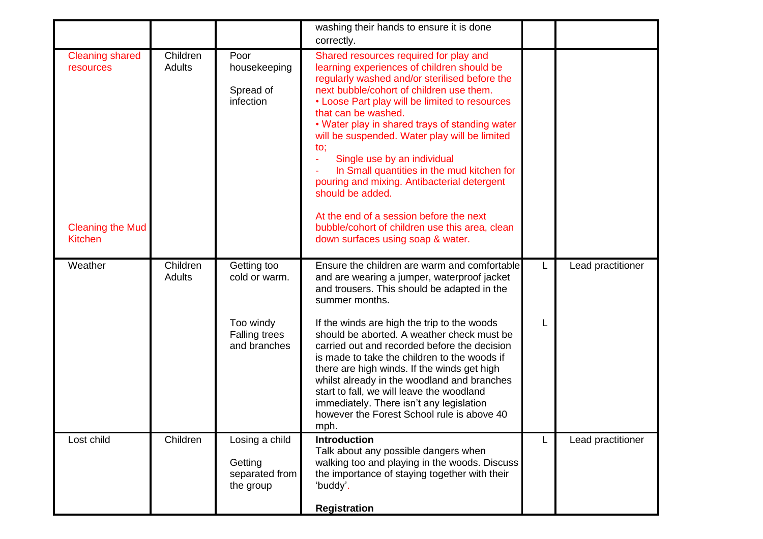|                                                                                  |                           |                                                          | washing their hands to ensure it is done<br>correctly.                                                                                                                                                                                                                                                                                                                                                                                                                                                                                                                                                                                                      |   |                   |
|----------------------------------------------------------------------------------|---------------------------|----------------------------------------------------------|-------------------------------------------------------------------------------------------------------------------------------------------------------------------------------------------------------------------------------------------------------------------------------------------------------------------------------------------------------------------------------------------------------------------------------------------------------------------------------------------------------------------------------------------------------------------------------------------------------------------------------------------------------------|---|-------------------|
| <b>Cleaning shared</b><br>resources<br><b>Cleaning the Mud</b><br><b>Kitchen</b> | Children<br>Adults        | Poor<br>housekeeping<br>Spread of<br>infection           | Shared resources required for play and<br>learning experiences of children should be<br>regularly washed and/or sterilised before the<br>next bubble/cohort of children use them.<br>• Loose Part play will be limited to resources<br>that can be washed.<br>• Water play in shared trays of standing water<br>will be suspended. Water play will be limited<br>to;<br>Single use by an individual<br>÷<br>In Small quantities in the mud kitchen for<br>pouring and mixing. Antibacterial detergent<br>should be added.<br>At the end of a session before the next<br>bubble/cohort of children use this area, clean<br>down surfaces using soap & water. |   |                   |
| Weather                                                                          | Children<br><b>Adults</b> | Getting too<br>cold or warm.                             | Ensure the children are warm and comfortable<br>and are wearing a jumper, waterproof jacket<br>and trousers. This should be adapted in the<br>summer months.                                                                                                                                                                                                                                                                                                                                                                                                                                                                                                | L | Lead practitioner |
|                                                                                  |                           | Too windy<br><b>Falling trees</b><br>and branches        | If the winds are high the trip to the woods<br>should be aborted. A weather check must be<br>carried out and recorded before the decision<br>is made to take the children to the woods if<br>there are high winds. If the winds get high<br>whilst already in the woodland and branches<br>start to fall, we will leave the woodland<br>immediately. There isn't any legislation<br>however the Forest School rule is above 40<br>mph.                                                                                                                                                                                                                      |   |                   |
| Lost child                                                                       | Children                  | Losing a child<br>Getting<br>separated from<br>the group | <b>Introduction</b><br>Talk about any possible dangers when<br>walking too and playing in the woods. Discuss<br>the importance of staying together with their<br>'buddy'.<br><b>Registration</b>                                                                                                                                                                                                                                                                                                                                                                                                                                                            | L | Lead practitioner |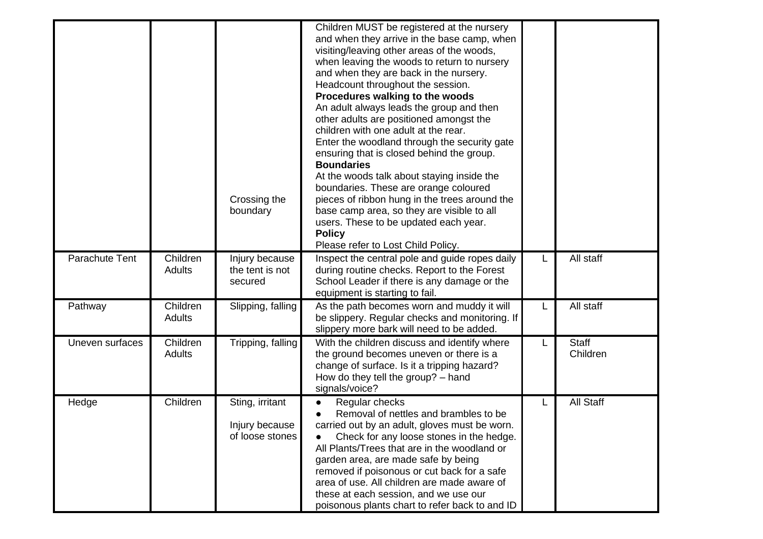|                 |                           | Crossing the<br>boundary                             | Children MUST be registered at the nursery<br>and when they arrive in the base camp, when<br>visiting/leaving other areas of the woods,<br>when leaving the woods to return to nursery<br>and when they are back in the nursery.<br>Headcount throughout the session.<br>Procedures walking to the woods<br>An adult always leads the group and then<br>other adults are positioned amongst the<br>children with one adult at the rear.<br>Enter the woodland through the security gate<br>ensuring that is closed behind the group.<br><b>Boundaries</b><br>At the woods talk about staying inside the<br>boundaries. These are orange coloured<br>pieces of ribbon hung in the trees around the<br>base camp area, so they are visible to all<br>users. These to be updated each year.<br><b>Policy</b><br>Please refer to Lost Child Policy. |   |                          |
|-----------------|---------------------------|------------------------------------------------------|-------------------------------------------------------------------------------------------------------------------------------------------------------------------------------------------------------------------------------------------------------------------------------------------------------------------------------------------------------------------------------------------------------------------------------------------------------------------------------------------------------------------------------------------------------------------------------------------------------------------------------------------------------------------------------------------------------------------------------------------------------------------------------------------------------------------------------------------------|---|--------------------------|
| Parachute Tent  | Children<br>Adults        | Injury because<br>the tent is not<br>secured         | Inspect the central pole and guide ropes daily<br>during routine checks. Report to the Forest<br>School Leader if there is any damage or the<br>equipment is starting to fail.                                                                                                                                                                                                                                                                                                                                                                                                                                                                                                                                                                                                                                                                  |   | All staff                |
| Pathway         | Children<br><b>Adults</b> | Slipping, falling                                    | As the path becomes worn and muddy it will<br>be slippery. Regular checks and monitoring. If<br>slippery more bark will need to be added.                                                                                                                                                                                                                                                                                                                                                                                                                                                                                                                                                                                                                                                                                                       | L | All staff                |
| Uneven surfaces | Children<br>Adults        | Tripping, falling                                    | With the children discuss and identify where<br>the ground becomes uneven or there is a<br>change of surface. Is it a tripping hazard?<br>How do they tell the group? - hand<br>signals/voice?                                                                                                                                                                                                                                                                                                                                                                                                                                                                                                                                                                                                                                                  | L | <b>Staff</b><br>Children |
| Hedge           | Children                  | Sting, irritant<br>Injury because<br>of loose stones | Regular checks<br>Removal of nettles and brambles to be<br>carried out by an adult, gloves must be worn.<br>Check for any loose stones in the hedge.<br>All Plants/Trees that are in the woodland or<br>garden area, are made safe by being<br>removed if poisonous or cut back for a safe<br>area of use. All children are made aware of<br>these at each session, and we use our<br>poisonous plants chart to refer back to and ID                                                                                                                                                                                                                                                                                                                                                                                                            |   | All Staff                |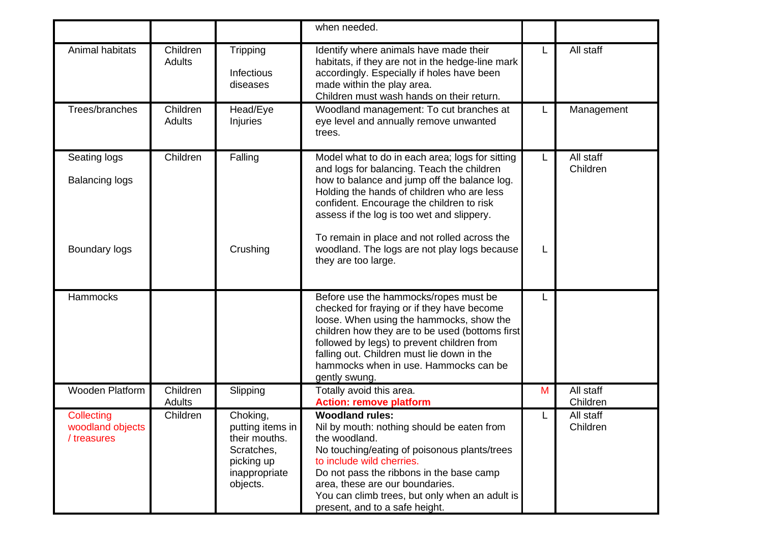|                                               |                           |                                                                                                        | when needed.                                                                                                                                                                                                                                                                                                                             |   |                       |
|-----------------------------------------------|---------------------------|--------------------------------------------------------------------------------------------------------|------------------------------------------------------------------------------------------------------------------------------------------------------------------------------------------------------------------------------------------------------------------------------------------------------------------------------------------|---|-----------------------|
| Animal habitats                               | Children<br><b>Adults</b> | Tripping<br>Infectious<br>diseases                                                                     | Identify where animals have made their<br>habitats, if they are not in the hedge-line mark<br>accordingly. Especially if holes have been<br>made within the play area.<br>Children must wash hands on their return.                                                                                                                      |   | All staff             |
| Trees/branches                                | Children<br><b>Adults</b> | Head/Eye<br>Injuries                                                                                   | Woodland management: To cut branches at<br>eye level and annually remove unwanted<br>trees.                                                                                                                                                                                                                                              |   | Management            |
| Seating logs<br><b>Balancing logs</b>         | Children                  | Falling                                                                                                | Model what to do in each area; logs for sitting<br>and logs for balancing. Teach the children<br>how to balance and jump off the balance log.<br>Holding the hands of children who are less<br>confident. Encourage the children to risk<br>assess if the log is too wet and slippery.                                                   | L | All staff<br>Children |
| Boundary logs                                 |                           | Crushing                                                                                               | To remain in place and not rolled across the<br>woodland. The logs are not play logs because<br>they are too large.                                                                                                                                                                                                                      | L |                       |
| Hammocks                                      |                           |                                                                                                        | Before use the hammocks/ropes must be<br>checked for fraying or if they have become<br>loose. When using the hammocks, show the<br>children how they are to be used (bottoms first<br>followed by legs) to prevent children from<br>falling out. Children must lie down in the<br>hammocks when in use. Hammocks can be<br>gently swung. |   |                       |
| Wooden Platform                               | Children<br><b>Adults</b> | Slipping                                                                                               | Totally avoid this area.<br><b>Action: remove platform</b>                                                                                                                                                                                                                                                                               | M | All staff<br>Children |
| Collecting<br>woodland objects<br>/ treasures | Children                  | Choking,<br>putting items in<br>their mouths.<br>Scratches,<br>picking up<br>inappropriate<br>objects. | <b>Woodland rules:</b><br>Nil by mouth: nothing should be eaten from<br>the woodland.<br>No touching/eating of poisonous plants/trees<br>to include wild cherries.<br>Do not pass the ribbons in the base camp<br>area, these are our boundaries.<br>You can climb trees, but only when an adult is<br>present, and to a safe height.    |   | All staff<br>Children |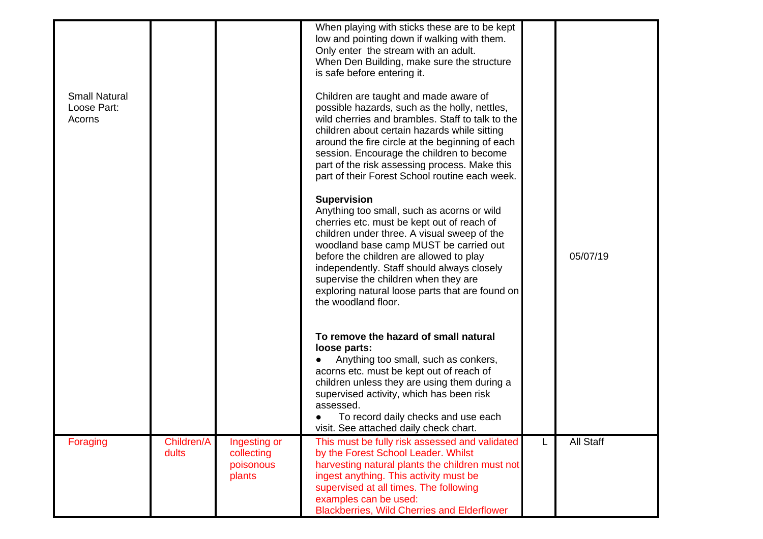| <b>Small Natural</b><br>Loose Part:<br>Acorns |                     |                                                   | When playing with sticks these are to be kept<br>low and pointing down if walking with them.<br>Only enter the stream with an adult.<br>When Den Building, make sure the structure<br>is safe before entering it.<br>Children are taught and made aware of<br>possible hazards, such as the holly, nettles,<br>wild cherries and brambles. Staff to talk to the<br>children about certain hazards while sitting |   |           |
|-----------------------------------------------|---------------------|---------------------------------------------------|-----------------------------------------------------------------------------------------------------------------------------------------------------------------------------------------------------------------------------------------------------------------------------------------------------------------------------------------------------------------------------------------------------------------|---|-----------|
|                                               |                     |                                                   | around the fire circle at the beginning of each<br>session. Encourage the children to become<br>part of the risk assessing process. Make this<br>part of their Forest School routine each week.                                                                                                                                                                                                                 |   |           |
|                                               |                     |                                                   | <b>Supervision</b><br>Anything too small, such as acorns or wild<br>cherries etc. must be kept out of reach of<br>children under three. A visual sweep of the<br>woodland base camp MUST be carried out<br>before the children are allowed to play<br>independently. Staff should always closely<br>supervise the children when they are<br>exploring natural loose parts that are found on                     |   | 05/07/19  |
|                                               |                     |                                                   | the woodland floor.                                                                                                                                                                                                                                                                                                                                                                                             |   |           |
|                                               |                     |                                                   | To remove the hazard of small natural<br>loose parts:<br>Anything too small, such as conkers,<br>acorns etc. must be kept out of reach of<br>children unless they are using them during a<br>supervised activity, which has been risk<br>assessed.                                                                                                                                                              |   |           |
|                                               |                     |                                                   | To record daily checks and use each<br>visit. See attached daily check chart.                                                                                                                                                                                                                                                                                                                                   |   |           |
| Foraging                                      | Children/A<br>dults | Ingesting or<br>collecting<br>poisonous<br>plants | This must be fully risk assessed and validated<br>by the Forest School Leader. Whilst<br>harvesting natural plants the children must not<br>ingest anything. This activity must be<br>supervised at all times. The following<br>examples can be used:<br><b>Blackberries, Wild Cherries and Elderflower</b>                                                                                                     | L | All Staff |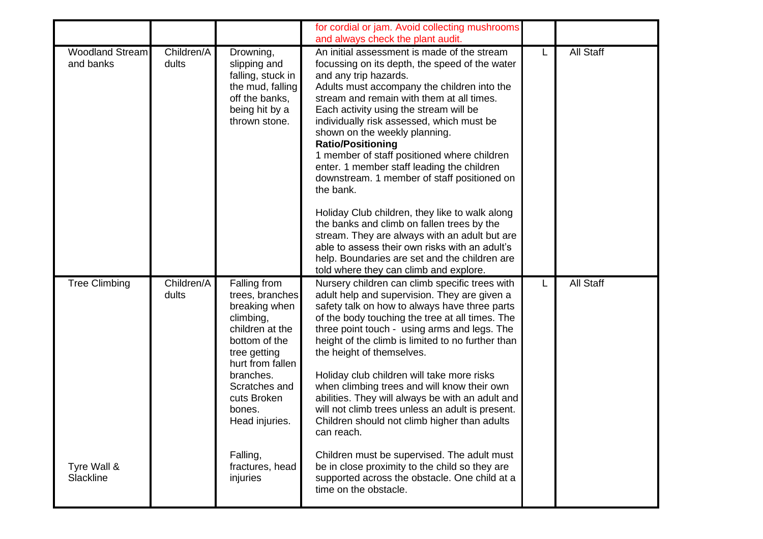|                                     |                     |                                                                                                                                                                                                                | for cordial or jam. Avoid collecting mushrooms<br>and always check the plant audit.                                                                                                                                                                                                                                                                                                                                                                                                                                                                                                                                                                                                                                                                                                 |   |           |
|-------------------------------------|---------------------|----------------------------------------------------------------------------------------------------------------------------------------------------------------------------------------------------------------|-------------------------------------------------------------------------------------------------------------------------------------------------------------------------------------------------------------------------------------------------------------------------------------------------------------------------------------------------------------------------------------------------------------------------------------------------------------------------------------------------------------------------------------------------------------------------------------------------------------------------------------------------------------------------------------------------------------------------------------------------------------------------------------|---|-----------|
| <b>Woodland Stream</b><br>and banks | Children/A<br>dults | Drowning,<br>slipping and<br>falling, stuck in<br>the mud, falling<br>off the banks,<br>being hit by a<br>thrown stone.                                                                                        | An initial assessment is made of the stream<br>focussing on its depth, the speed of the water<br>and any trip hazards.<br>Adults must accompany the children into the<br>stream and remain with them at all times.<br>Each activity using the stream will be<br>individually risk assessed, which must be<br>shown on the weekly planning.<br><b>Ratio/Positioning</b><br>1 member of staff positioned where children<br>enter. 1 member staff leading the children<br>downstream. 1 member of staff positioned on<br>the bank.<br>Holiday Club children, they like to walk along<br>the banks and climb on fallen trees by the<br>stream. They are always with an adult but are<br>able to assess their own risks with an adult's<br>help. Boundaries are set and the children are | L | All Staff |
| <b>Tree Climbing</b>                | Children/A<br>dults | Falling from<br>trees, branches<br>breaking when<br>climbing,<br>children at the<br>bottom of the<br>tree getting<br>hurt from fallen<br>branches.<br>Scratches and<br>cuts Broken<br>bones.<br>Head injuries. | told where they can climb and explore.<br>Nursery children can climb specific trees with<br>adult help and supervision. They are given a<br>safety talk on how to always have three parts<br>of the body touching the tree at all times. The<br>three point touch - using arms and legs. The<br>height of the climb is limited to no further than<br>the height of themselves.<br>Holiday club children will take more risks<br>when climbing trees and will know their own<br>abilities. They will always be with an adult and<br>will not climb trees unless an adult is present.<br>Children should not climb higher than adults<br>can reach.                                                                                                                                   | L | All Staff |
| Tyre Wall &<br>Slackline            |                     | Falling,<br>fractures, head<br>injuries                                                                                                                                                                        | Children must be supervised. The adult must<br>be in close proximity to the child so they are<br>supported across the obstacle. One child at a<br>time on the obstacle.                                                                                                                                                                                                                                                                                                                                                                                                                                                                                                                                                                                                             |   |           |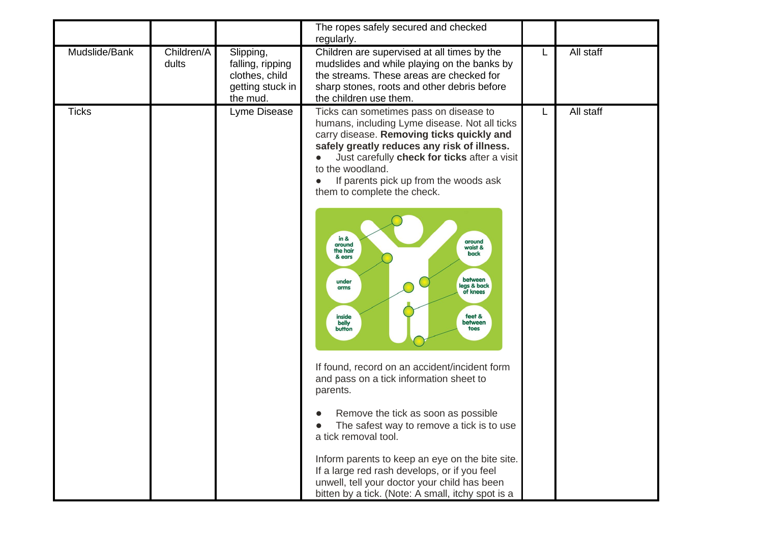|               |                     |                                                                                 | The ropes safely secured and checked<br>regularly.                                                                                                                                                                                                                                                                                                                                                                                                                                                                                                                                                                                                                                                                                                                                                                                                                                                                                                  |   |           |
|---------------|---------------------|---------------------------------------------------------------------------------|-----------------------------------------------------------------------------------------------------------------------------------------------------------------------------------------------------------------------------------------------------------------------------------------------------------------------------------------------------------------------------------------------------------------------------------------------------------------------------------------------------------------------------------------------------------------------------------------------------------------------------------------------------------------------------------------------------------------------------------------------------------------------------------------------------------------------------------------------------------------------------------------------------------------------------------------------------|---|-----------|
| Mudslide/Bank | Children/A<br>dults | Slipping,<br>falling, ripping<br>clothes, child<br>getting stuck in<br>the mud. | Children are supervised at all times by the<br>mudslides and while playing on the banks by<br>the streams. These areas are checked for<br>sharp stones, roots and other debris before<br>the children use them.                                                                                                                                                                                                                                                                                                                                                                                                                                                                                                                                                                                                                                                                                                                                     | L | All staff |
| <b>Ticks</b>  |                     | Lyme Disease                                                                    | Ticks can sometimes pass on disease to<br>humans, including Lyme disease. Not all ticks<br>carry disease. Removing ticks quickly and<br>safely greatly reduces any risk of illness.<br>Just carefully check for ticks after a visit<br>to the woodland.<br>If parents pick up from the woods ask<br>them to complete the check.<br>$in 8$<br>around<br>around<br>waist &<br>the hair<br>back<br>& ears<br>between<br>under<br>legs & back<br>arms<br>of knees<br>feet &<br>inside<br>between<br>belly<br>toes<br>button<br>If found, record on an accident/incident form<br>and pass on a tick information sheet to<br>parents.<br>Remove the tick as soon as possible<br>The safest way to remove a tick is to use<br>a tick removal tool.<br>Inform parents to keep an eye on the bite site.<br>If a large red rash develops, or if you feel<br>unwell, tell your doctor your child has been<br>bitten by a tick. (Note: A small, itchy spot is a |   | All staff |